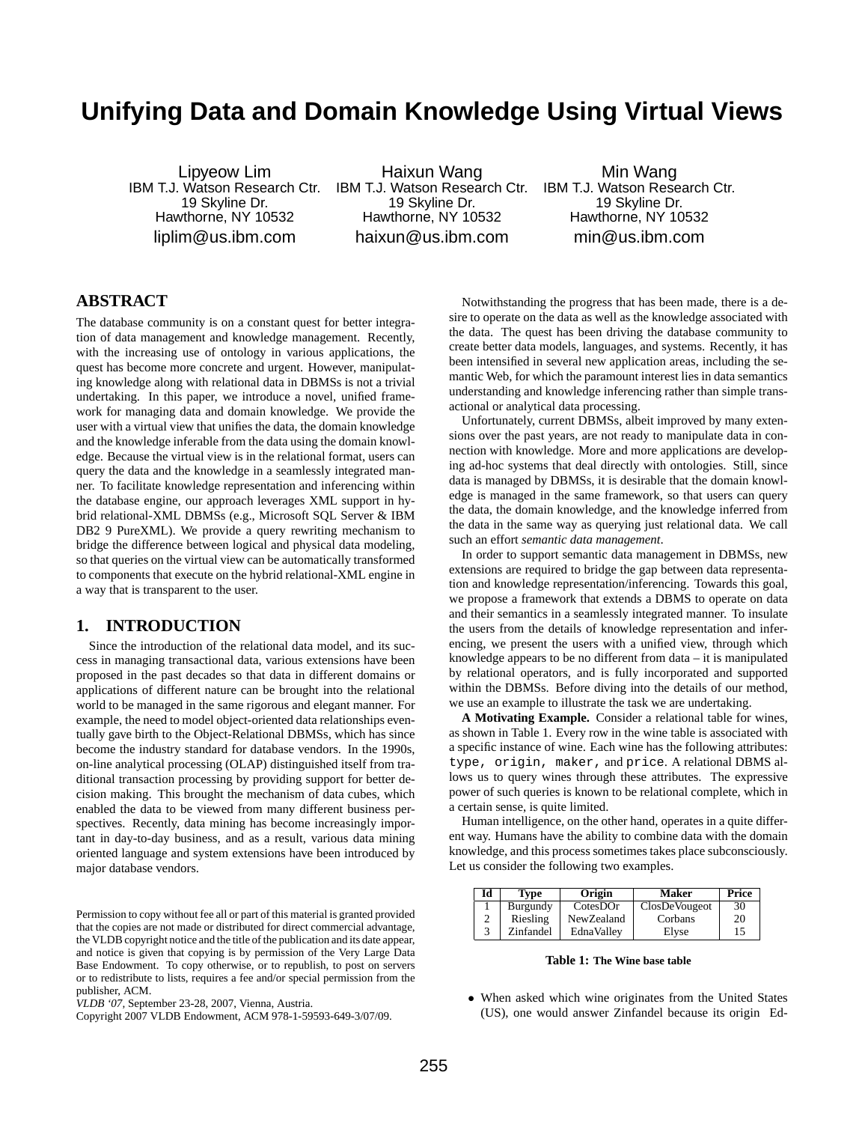# **Unifying Data and Domain Knowledge Using Virtual Views**

Lipyeow Lim IBM T.J. Watson Research Ctr. 19 Skyline Dr. Hawthorne, NY 10532 liplim@us.ibm.com

Haixun Wang IBM T.J. Watson Research Ctr. 19 Skyline Dr. Hawthorne, NY 10532 haixun@us.ibm.com

Min Wang IBM T.J. Watson Research Ctr. 19 Skyline Dr. Hawthorne, NY 10532 min@us.ibm.com

## **ABSTRACT**

The database community is on a constant quest for better integration of data management and knowledge management. Recently, with the increasing use of ontology in various applications, the quest has become more concrete and urgent. However, manipulating knowledge along with relational data in DBMSs is not a trivial undertaking. In this paper, we introduce a novel, unified framework for managing data and domain knowledge. We provide the user with a virtual view that unifies the data, the domain knowledge and the knowledge inferable from the data using the domain knowledge. Because the virtual view is in the relational format, users can query the data and the knowledge in a seamlessly integrated manner. To facilitate knowledge representation and inferencing within the database engine, our approach leverages XML support in hybrid relational-XML DBMSs (e.g., Microsoft SQL Server & IBM DB2 9 PureXML). We provide a query rewriting mechanism to bridge the difference between logical and physical data modeling, so that queries on the virtual view can be automatically transformed to components that execute on the hybrid relational-XML engine in a way that is transparent to the user.

## **1. INTRODUCTION**

Since the introduction of the relational data model, and its success in managing transactional data, various extensions have been proposed in the past decades so that data in different domains or applications of different nature can be brought into the relational world to be managed in the same rigorous and elegant manner. For example, the need to model object-oriented data relationships eventually gave birth to the Object-Relational DBMSs, which has since become the industry standard for database vendors. In the 1990s, on-line analytical processing (OLAP) distinguished itself from traditional transaction processing by providing support for better decision making. This brought the mechanism of data cubes, which enabled the data to be viewed from many different business perspectives. Recently, data mining has become increasingly important in day-to-day business, and as a result, various data mining oriented language and system extensions have been introduced by major database vendors.

Notwithstanding the progress that has been made, there is a desire to operate on the data as well as the knowledge associated with the data. The quest has been driving the database community to create better data models, languages, and systems. Recently, it has been intensified in several new application areas, including the semantic Web, for which the paramount interest lies in data semantics understanding and knowledge inferencing rather than simple transactional or analytical data processing.

Unfortunately, current DBMSs, albeit improved by many extensions over the past years, are not ready to manipulate data in connection with knowledge. More and more applications are developing ad-hoc systems that deal directly with ontologies. Still, since data is managed by DBMSs, it is desirable that the domain knowledge is managed in the same framework, so that users can query the data, the domain knowledge, and the knowledge inferred from the data in the same way as querying just relational data. We call such an effort *semantic data management*.

In order to support semantic data management in DBMSs, new extensions are required to bridge the gap between data representation and knowledge representation/inferencing. Towards this goal, we propose a framework that extends a DBMS to operate on data and their semantics in a seamlessly integrated manner. To insulate the users from the details of knowledge representation and inferencing, we present the users with a unified view, through which knowledge appears to be no different from data – it is manipulated by relational operators, and is fully incorporated and supported within the DBMSs. Before diving into the details of our method, we use an example to illustrate the task we are undertaking.

**A Motivating Example.** Consider a relational table for wines, as shown in Table 1. Every row in the wine table is associated with a specific instance of wine. Each wine has the following attributes: type, origin, maker, and price. A relational DBMS allows us to query wines through these attributes. The expressive power of such queries is known to be relational complete, which in a certain sense, is quite limited.

Human intelligence, on the other hand, operates in a quite different way. Humans have the ability to combine data with the domain knowledge, and this process sometimes takes place subconsciously. Let us consider the following two examples.

| Id | Tvpe      | Origin     | <b>Maker</b>         | Price |
|----|-----------|------------|----------------------|-------|
|    | Burgundy  | CotesDOr   | <b>ClosDeVougeot</b> | 30    |
| 2  | Riesling  | NewZealand | Corbans              | 20    |
| 3  | Zinfandel | EdnaVallev | Elvse                | 15    |

**Table 1: The Wine base table**

• When asked which wine originates from the United States (US), one would answer Zinfandel because its origin Ed-

Permission to copy without fee all or part of this material is granted provided that the copies are not made or distributed for direct commercial advantage, the VLDB copyright notice and the title of the publication and its date appear, and notice is given that copying is by permission of the Very Large Data Base Endowment. To copy otherwise, or to republish, to post on servers or to redistribute to lists, requires a fee and/or special permission from the publisher, ACM.

*VLDB '07,* September 23-28, 2007, Vienna, Austria.

Copyright 2007 VLDB Endowment, ACM 978-1-59593-649-3/07/09.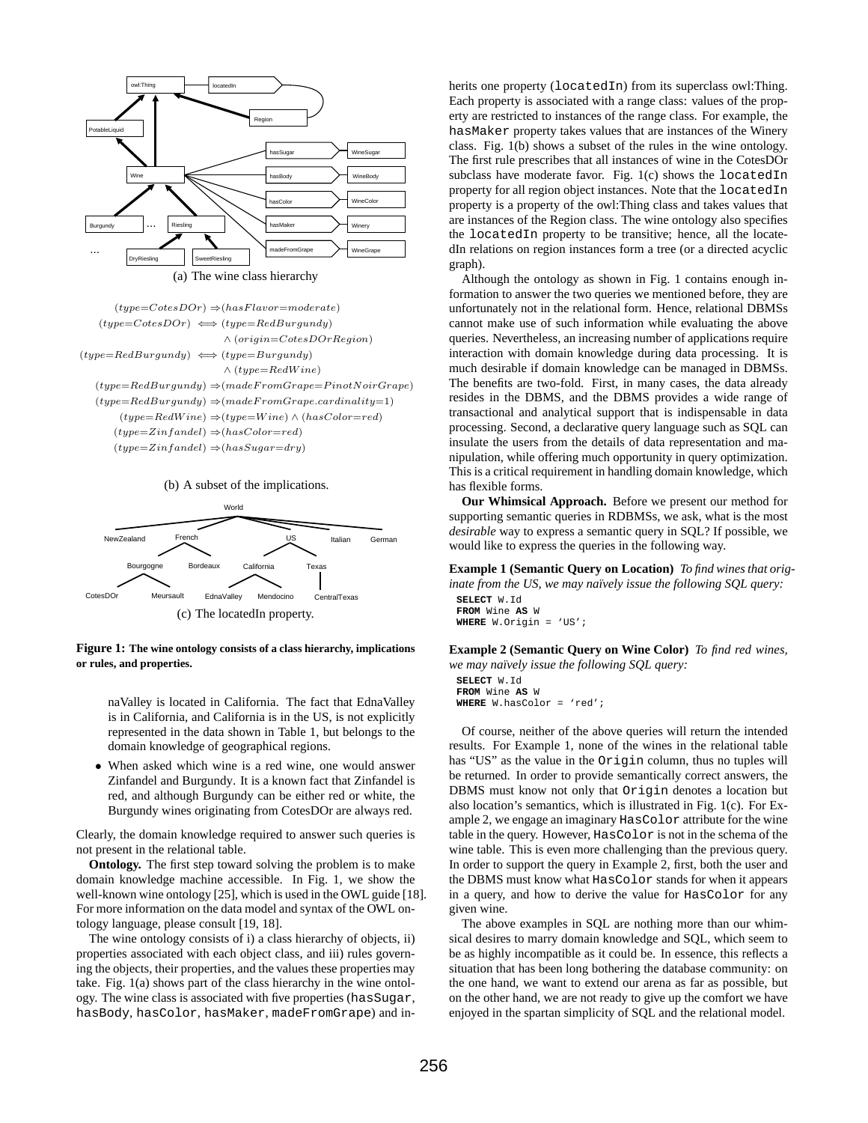

 $(type=RedWine) \Rightarrow (type=Wire) \land (hasColor=red)$  $(type=Zinfandel) \Rightarrow (hasColor=red)$ 

 $(type=Zinfandel) \Rightarrow (hasSugar=dry)$ 





**Figure 1: The wine ontology consists of a class hierarchy, implications or rules, and properties.**

naValley is located in California. The fact that EdnaValley is in California, and California is in the US, is not explicitly represented in the data shown in Table 1, but belongs to the domain knowledge of geographical regions.

• When asked which wine is a red wine, one would answer Zinfandel and Burgundy. It is a known fact that Zinfandel is red, and although Burgundy can be either red or white, the Burgundy wines originating from CotesDOr are always red.

Clearly, the domain knowledge required to answer such queries is not present in the relational table.

**Ontology.** The first step toward solving the problem is to make domain knowledge machine accessible. In Fig. 1, we show the well-known wine ontology [25], which is used in the OWL guide [18]. For more information on the data model and syntax of the OWL ontology language, please consult [19, 18].

The wine ontology consists of i) a class hierarchy of objects, ii) properties associated with each object class, and iii) rules governing the objects, their properties, and the values these properties may take. Fig. 1(a) shows part of the class hierarchy in the wine ontology. The wine class is associated with five properties (hasSugar, hasBody, hasColor, hasMaker, madeFromGrape) and inherits one property (locatedIn) from its superclass owl:Thing. Each property is associated with a range class: values of the property are restricted to instances of the range class. For example, the hasMaker property takes values that are instances of the Winery class. Fig. 1(b) shows a subset of the rules in the wine ontology. The first rule prescribes that all instances of wine in the CotesDOr subclass have moderate favor. Fig. 1(c) shows the locatedIn property for all region object instances. Note that the locatedIn property is a property of the owl:Thing class and takes values that are instances of the Region class. The wine ontology also specifies the locatedIn property to be transitive; hence, all the locatedIn relations on region instances form a tree (or a directed acyclic graph).

Although the ontology as shown in Fig. 1 contains enough information to answer the two queries we mentioned before, they are unfortunately not in the relational form. Hence, relational DBMSs cannot make use of such information while evaluating the above queries. Nevertheless, an increasing number of applications require interaction with domain knowledge during data processing. It is much desirable if domain knowledge can be managed in DBMSs. The benefits are two-fold. First, in many cases, the data already resides in the DBMS, and the DBMS provides a wide range of transactional and analytical support that is indispensable in data processing. Second, a declarative query language such as SQL can insulate the users from the details of data representation and manipulation, while offering much opportunity in query optimization. This is a critical requirement in handling domain knowledge, which has flexible forms.

**Our Whimsical Approach.** Before we present our method for supporting semantic queries in RDBMSs, we ask, what is the most *desirable* way to express a semantic query in SQL? If possible, we would like to express the queries in the following way.

**Example 1 (Semantic Query on Location)** *To find wines that originate from the US, we may naïvely issue the following SQL query:* 

**SELECT** W.Id **FROM** Wine **AS** W **WHERE** W.Origin = 'US';

**Example 2 (Semantic Query on Wine Color)** *To find red wines, we may naïvely issue the following SQL query:* 

**SELECT** W.Id **FROM** Wine **AS** W **WHERE** W.hasColor = 'red';

Of course, neither of the above queries will return the intended results. For Example 1, none of the wines in the relational table has "US" as the value in the Origin column, thus no tuples will be returned. In order to provide semantically correct answers, the DBMS must know not only that Origin denotes a location but also location's semantics, which is illustrated in Fig. 1(c). For Example 2, we engage an imaginary HasColor attribute for the wine table in the query. However, HasColor is not in the schema of the wine table. This is even more challenging than the previous query. In order to support the query in Example 2, first, both the user and the DBMS must know what HasColor stands for when it appears in a query, and how to derive the value for HasColor for any given wine.

The above examples in SQL are nothing more than our whimsical desires to marry domain knowledge and SQL, which seem to be as highly incompatible as it could be. In essence, this reflects a situation that has been long bothering the database community: on the one hand, we want to extend our arena as far as possible, but on the other hand, we are not ready to give up the comfort we have enjoyed in the spartan simplicity of SQL and the relational model.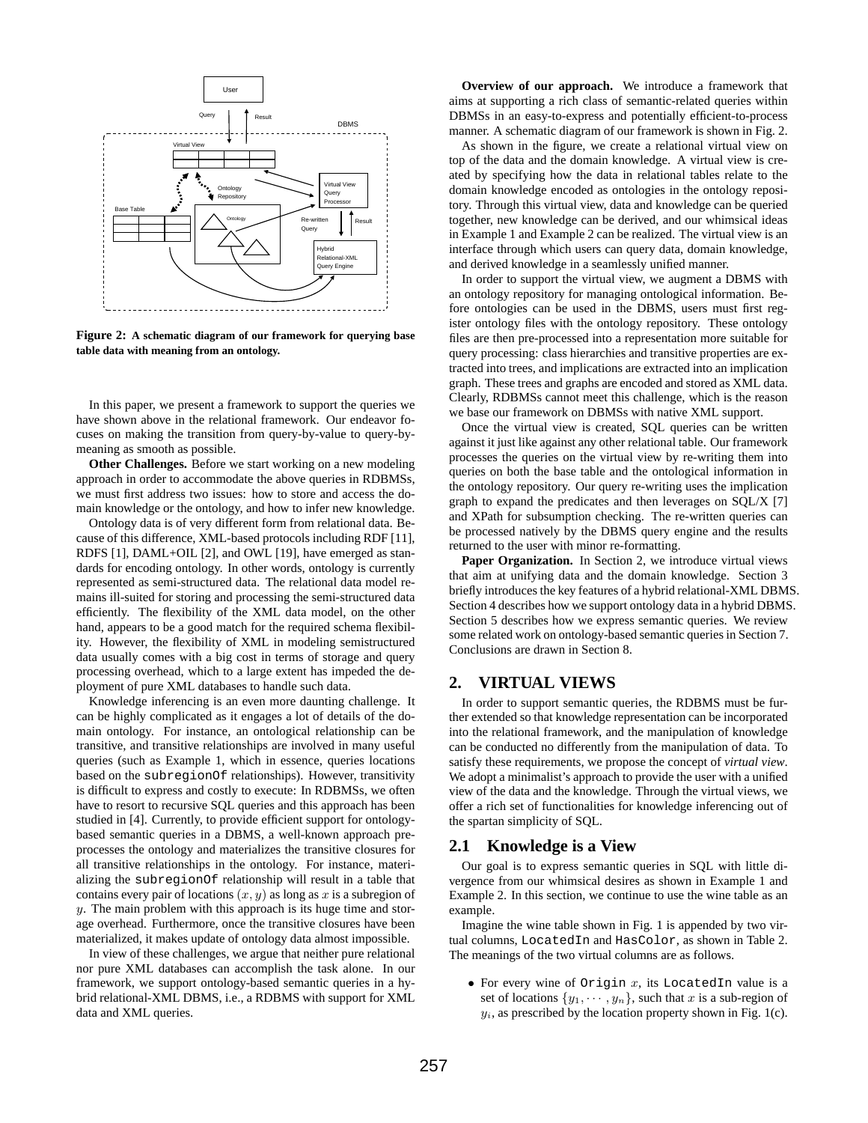

**Figure 2: A schematic diagram of our framework for querying base table data with meaning from an ontology.**

In this paper, we present a framework to support the queries we have shown above in the relational framework. Our endeavor focuses on making the transition from query-by-value to query-bymeaning as smooth as possible.

**Other Challenges.** Before we start working on a new modeling approach in order to accommodate the above queries in RDBMSs, we must first address two issues: how to store and access the domain knowledge or the ontology, and how to infer new knowledge.

Ontology data is of very different form from relational data. Because of this difference, XML-based protocols including RDF [11], RDFS [1], DAML+OIL [2], and OWL [19], have emerged as standards for encoding ontology. In other words, ontology is currently represented as semi-structured data. The relational data model remains ill-suited for storing and processing the semi-structured data efficiently. The flexibility of the XML data model, on the other hand, appears to be a good match for the required schema flexibility. However, the flexibility of XML in modeling semistructured data usually comes with a big cost in terms of storage and query processing overhead, which to a large extent has impeded the deployment of pure XML databases to handle such data.

Knowledge inferencing is an even more daunting challenge. It can be highly complicated as it engages a lot of details of the domain ontology. For instance, an ontological relationship can be transitive, and transitive relationships are involved in many useful queries (such as Example 1, which in essence, queries locations based on the subregionOf relationships). However, transitivity is difficult to express and costly to execute: In RDBMSs, we often have to resort to recursive SQL queries and this approach has been studied in [4]. Currently, to provide efficient support for ontologybased semantic queries in a DBMS, a well-known approach preprocesses the ontology and materializes the transitive closures for all transitive relationships in the ontology. For instance, materializing the subregionOf relationship will result in a table that contains every pair of locations  $(x, y)$  as long as x is a subregion of  $y$ . The main problem with this approach is its huge time and storage overhead. Furthermore, once the transitive closures have been materialized, it makes update of ontology data almost impossible.

In view of these challenges, we argue that neither pure relational nor pure XML databases can accomplish the task alone. In our framework, we support ontology-based semantic queries in a hybrid relational-XML DBMS, i.e., a RDBMS with support for XML data and XML queries.

**Overview of our approach.** We introduce a framework that aims at supporting a rich class of semantic-related queries within DBMSs in an easy-to-express and potentially efficient-to-process manner. A schematic diagram of our framework is shown in Fig. 2.

As shown in the figure, we create a relational virtual view on top of the data and the domain knowledge. A virtual view is created by specifying how the data in relational tables relate to the domain knowledge encoded as ontologies in the ontology repository. Through this virtual view, data and knowledge can be queried together, new knowledge can be derived, and our whimsical ideas in Example 1 and Example 2 can be realized. The virtual view is an interface through which users can query data, domain knowledge, and derived knowledge in a seamlessly unified manner.

In order to support the virtual view, we augment a DBMS with an ontology repository for managing ontological information. Before ontologies can be used in the DBMS, users must first register ontology files with the ontology repository. These ontology files are then pre-processed into a representation more suitable for query processing: class hierarchies and transitive properties are extracted into trees, and implications are extracted into an implication graph. These trees and graphs are encoded and stored as XML data. Clearly, RDBMSs cannot meet this challenge, which is the reason we base our framework on DBMSs with native XML support.

Once the virtual view is created, SQL queries can be written against it just like against any other relational table. Our framework processes the queries on the virtual view by re-writing them into queries on both the base table and the ontological information in the ontology repository. Our query re-writing uses the implication graph to expand the predicates and then leverages on SQL/X [7] and XPath for subsumption checking. The re-written queries can be processed natively by the DBMS query engine and the results returned to the user with minor re-formatting.

Paper Organization. In Section 2, we introduce virtual views that aim at unifying data and the domain knowledge. Section 3 briefly introduces the key features of a hybrid relational-XML DBMS. Section 4 describes how we support ontology data in a hybrid DBMS. Section 5 describes how we express semantic queries. We review some related work on ontology-based semantic queries in Section 7. Conclusions are drawn in Section 8.

## **2. VIRTUAL VIEWS**

In order to support semantic queries, the RDBMS must be further extended so that knowledge representation can be incorporated into the relational framework, and the manipulation of knowledge can be conducted no differently from the manipulation of data. To satisfy these requirements, we propose the concept of *virtual view*. We adopt a minimalist's approach to provide the user with a unified view of the data and the knowledge. Through the virtual views, we offer a rich set of functionalities for knowledge inferencing out of the spartan simplicity of SQL.

## **2.1 Knowledge is a View**

Our goal is to express semantic queries in SQL with little divergence from our whimsical desires as shown in Example 1 and Example 2. In this section, we continue to use the wine table as an example.

Imagine the wine table shown in Fig. 1 is appended by two virtual columns, LocatedIn and HasColor, as shown in Table 2. The meanings of the two virtual columns are as follows.

• For every wine of Origin  $x$ , its LocatedIn value is a set of locations  $\{y_1, \dots, y_n\}$ , such that x is a sub-region of  $y_i$ , as prescribed by the location property shown in Fig. 1(c).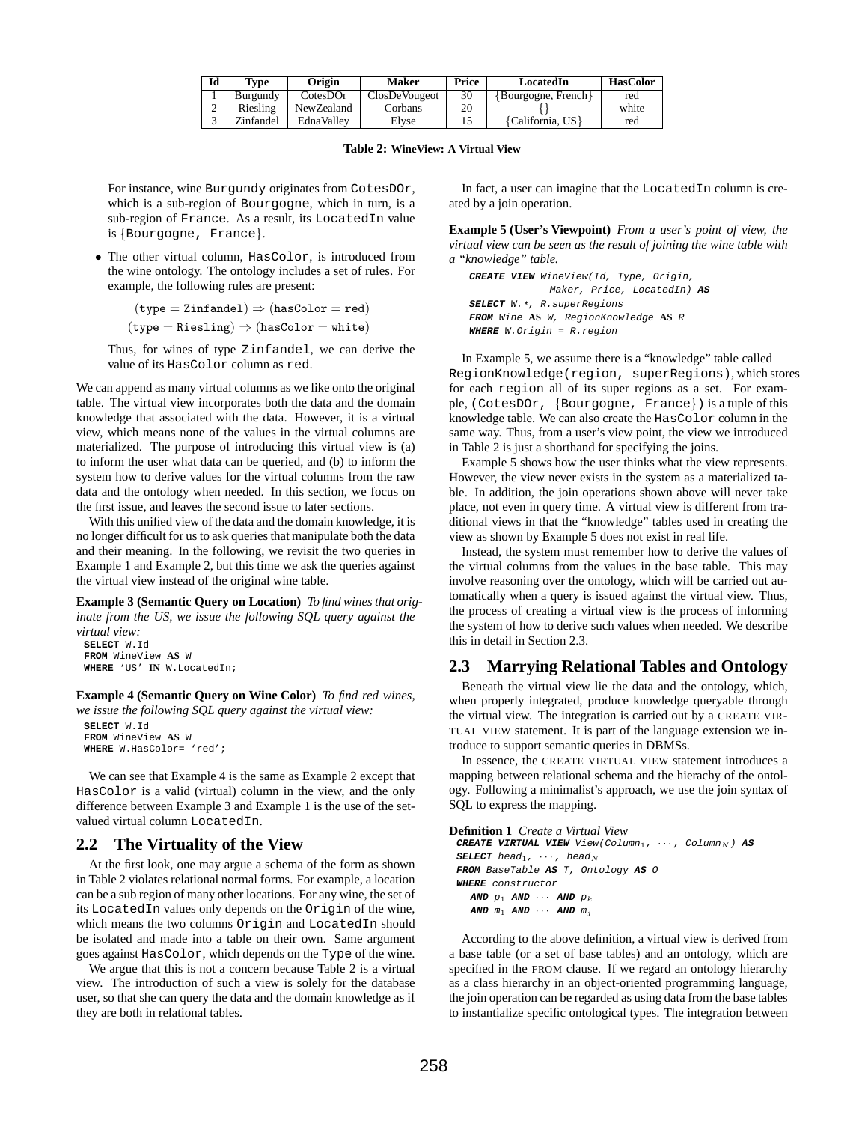| Id | Tvpe      | Origin      | Maker         | Price | LocatedIn               | <b>HasColor</b> |
|----|-----------|-------------|---------------|-------|-------------------------|-----------------|
|    | Burgundy  | $Cotes$ DOr | ClosDeVougeot | 30    | $\{Bourgogne, French\}$ | red             |
|    | Riesling  | NewZealand  | Corbans       | 20    |                         | white           |
|    | Zinfandel | EdnaVallev  | Elvse         |       | {California, US}        | red             |

**Table 2: WineView: A Virtual View**

For instance, wine Burgundy originates from CotesDOr, which is a sub-region of Bourgogne, which in turn, is a sub-region of France. As a result, its LocatedIn value is {Bourgogne, France}.

• The other virtual column, HasColor, is introduced from the wine ontology. The ontology includes a set of rules. For example, the following rules are present:

```
(type = Zinfandel) \Rightarrow (hasColor = red)
```
 $(type = Riesling) \Rightarrow (hasColor = white)$ 

Thus, for wines of type Zinfandel, we can derive the value of its HasColor column as red.

We can append as many virtual columns as we like onto the original table. The virtual view incorporates both the data and the domain knowledge that associated with the data. However, it is a virtual view, which means none of the values in the virtual columns are materialized. The purpose of introducing this virtual view is (a) to inform the user what data can be queried, and (b) to inform the system how to derive values for the virtual columns from the raw data and the ontology when needed. In this section, we focus on the first issue, and leaves the second issue to later sections.

With this unified view of the data and the domain knowledge, it is no longer difficult for us to ask queries that manipulate both the data and their meaning. In the following, we revisit the two queries in Example 1 and Example 2, but this time we ask the queries against the virtual view instead of the original wine table.

**Example 3 (Semantic Query on Location)** *To find wines that originate from the US, we issue the following SQL query against the virtual view:*

```
SELECT W.Id
FROM WineView AS W
WHERE 'US' IN W.LocatedIn;
```
**Example 4 (Semantic Query on Wine Color)** *To find red wines, we issue the following SQL query against the virtual view:*

```
SELECT W.Id
FROM WineView AS W
WHERE W.HasColor= 'red';
```
We can see that Example 4 is the same as Example 2 except that HasColor is a valid (virtual) column in the view, and the only difference between Example 3 and Example 1 is the use of the setvalued virtual column LocatedIn.

## **2.2 The Virtuality of the View**

At the first look, one may argue a schema of the form as shown in Table 2 violates relational normal forms. For example, a location can be a sub region of many other locations. For any wine, the set of its LocatedIn values only depends on the Origin of the wine, which means the two columns Origin and LocatedIn should be isolated and made into a table on their own. Same argument goes against HasColor, which depends on the Type of the wine.

We argue that this is not a concern because Table 2 is a virtual view. The introduction of such a view is solely for the database user, so that she can query the data and the domain knowledge as if they are both in relational tables.

In fact, a user can imagine that the LocatedIn column is created by a join operation.

**Example 5 (User's Viewpoint)** *From a user's point of view, the virtual view can be seen as the result of joining the wine table with a "knowledge" table.*

**CREATE VIEW** WineView(Id, Type, Origin, Maker, Price, LocatedIn) **AS SELECT** W.\*, R.superRegions **FROM** Wine **AS** W, RegionKnowledge **AS** R **WHERE** W.Origin = R.region

In Example 5, we assume there is a "knowledge" table called RegionKnowledge(region, superRegions), which stores for each region all of its super regions as a set. For example, (CotesDOr, {Bourgogne, France}) is a tuple of this knowledge table. We can also create the HasColor column in the same way. Thus, from a user's view point, the view we introduced in Table 2 is just a shorthand for specifying the joins.

Example 5 shows how the user thinks what the view represents. However, the view never exists in the system as a materialized table. In addition, the join operations shown above will never take place, not even in query time. A virtual view is different from traditional views in that the "knowledge" tables used in creating the view as shown by Example 5 does not exist in real life.

Instead, the system must remember how to derive the values of the virtual columns from the values in the base table. This may involve reasoning over the ontology, which will be carried out automatically when a query is issued against the virtual view. Thus, the process of creating a virtual view is the process of informing the system of how to derive such values when needed. We describe this in detail in Section 2.3.

## **2.3 Marrying Relational Tables and Ontology**

Beneath the virtual view lie the data and the ontology, which, when properly integrated, produce knowledge queryable through the virtual view. The integration is carried out by a CREATE VIR-TUAL VIEW statement. It is part of the language extension we introduce to support semantic queries in DBMSs.

In essence, the CREATE VIRTUAL VIEW statement introduces a mapping between relational schema and the hierachy of the ontology. Following a minimalist's approach, we use the join syntax of SQL to express the mapping.

#### **Definition 1** *Create a Virtual View*

```
CREATE VIRTUAL VIEW View(Column<sub>1</sub>, \cdots, Column<sub>N</sub>) AS
SELECT head<sub>1</sub>, \cdots, head<sub>N</sub>
FROM BaseTable AS T, Ontology AS O
WHERE constructor
   AND p_1 AND \cdots AND p_kAND m_1 AND \cdots AND m_j
```
According to the above definition, a virtual view is derived from a base table (or a set of base tables) and an ontology, which are specified in the FROM clause. If we regard an ontology hierarchy as a class hierarchy in an object-oriented programming language, the join operation can be regarded as using data from the base tables to instantialize specific ontological types. The integration between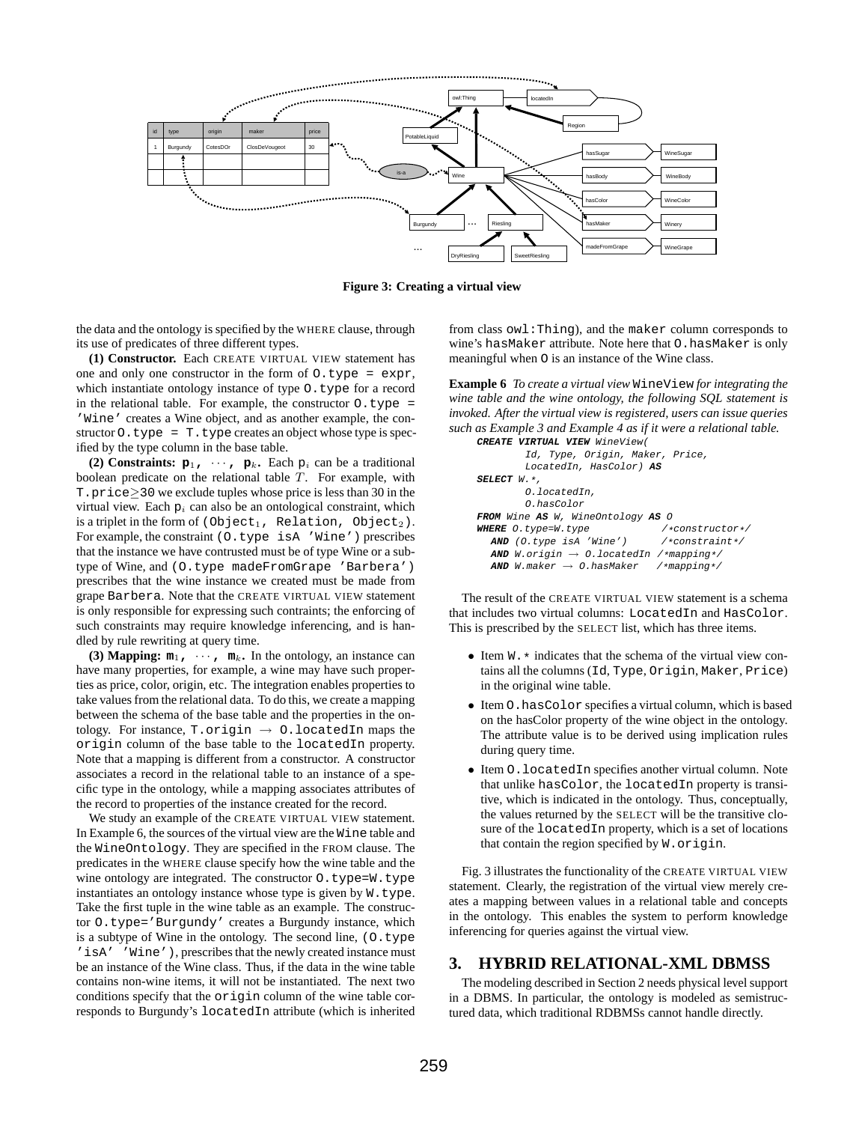

**Figure 3: Creating a virtual view**

the data and the ontology is specified by the WHERE clause, through its use of predicates of three different types.

**(1) Constructor.** Each CREATE VIRTUAL VIEW statement has one and only one constructor in the form of  $0.$  type = expr, which instantiate ontology instance of type O.type for a record in the relational table. For example, the constructor  $0.$  type = 'Wine' creates a Wine object, and as another example, the constructor  $0.type = T.type creates an object whose type is spec$ ified by the type column in the base table.

**(2) Constraints:**  $\mathbf{p}_1$ **,**  $\cdots$ **,**  $\mathbf{p}_k$ **.** Each  $p_i$  can be a traditional boolean predicate on the relational table T. For example, with T.price≥30 we exclude tuples whose price is less than 30 in the virtual view. Each  $p_i$  can also be an ontological constraint, which is a triplet in the form of (Object<sub>1</sub>, Relation, Object<sub>2</sub>). For example, the constraint (O.type isA 'Wine') prescribes that the instance we have contrusted must be of type Wine or a subtype of Wine, and (O.type madeFromGrape 'Barbera') prescribes that the wine instance we created must be made from grape Barbera. Note that the CREATE VIRTUAL VIEW statement is only responsible for expressing such contraints; the enforcing of such constraints may require knowledge inferencing, and is handled by rule rewriting at query time.

**(3) Mapping:**  $m_1$ ,  $\cdots$ ,  $m_k$ . In the ontology, an instance can have many properties, for example, a wine may have such properties as price, color, origin, etc. The integration enables properties to take values from the relational data. To do this, we create a mapping between the schema of the base table and the properties in the ontology. For instance, T.origin  $\rightarrow$  0.locatedIn maps the origin column of the base table to the locatedIn property. Note that a mapping is different from a constructor. A constructor associates a record in the relational table to an instance of a specific type in the ontology, while a mapping associates attributes of the record to properties of the instance created for the record.

We study an example of the CREATE VIRTUAL VIEW statement. In Example 6, the sources of the virtual view are the Wine table and the WineOntology. They are specified in the FROM clause. The predicates in the WHERE clause specify how the wine table and the wine ontology are integrated. The constructor  $O.type=W.type$ instantiates an ontology instance whose type is given by W.type. Take the first tuple in the wine table as an example. The constructor O.type='Burgundy' creates a Burgundy instance, which is a subtype of Wine in the ontology. The second line, (O.type 'isA' 'Wine'), prescribes that the newly created instance must be an instance of the Wine class. Thus, if the data in the wine table contains non-wine items, it will not be instantiated. The next two conditions specify that the origin column of the wine table corresponds to Burgundy's locatedIn attribute (which is inherited from class owl:Thing), and the maker column corresponds to wine's hasMaker attribute. Note here that O.hasMaker is only meaningful when O is an instance of the Wine class.

**Example 6** *To create a virtual view* WineView *for integrating the wine table and the wine ontology, the following SQL statement is invoked. After the virtual view is registered, users can issue queries such as Example 3 and Example 4 as if it were a relational table.*

| <b>CREATE VIRTUAL VIEW</b> WineView(                      |  |
|-----------------------------------------------------------|--|
| Id, Type, Origin, Maker, Price,                           |  |
| LocatedIn, HasColor) AS                                   |  |
| $SELECT$ W. $\star$ .                                     |  |
| 0.locatedIn.                                              |  |
| O.hasColor                                                |  |
| FROM Wine AS W, WineOntology AS O                         |  |
| /*constructor*/<br>WHERE O.type=W.type                    |  |
| $AND$ (0.type isA 'Wine') /*constraint*/                  |  |
| <b>AND</b> W.origin $\rightarrow$ 0.locatedIn /*mapping*/ |  |
| <b>AND</b> W.maker $\rightarrow$ 0.hasMaker /*mapping*/   |  |

The result of the CREATE VIRTUAL VIEW statement is a schema that includes two virtual columns: LocatedIn and HasColor. This is prescribed by the SELECT list, which has three items.

- Item  $W \cdot *$  indicates that the schema of the virtual view contains all the columns (Id, Type, Origin, Maker, Price) in the original wine table.
- Item O.hasColor specifies a virtual column, which is based on the hasColor property of the wine object in the ontology. The attribute value is to be derived using implication rules during query time.
- Item O.locatedIn specifies another virtual column. Note that unlike hasColor, the locatedIn property is transitive, which is indicated in the ontology. Thus, conceptually, the values returned by the SELECT will be the transitive closure of the locatedIn property, which is a set of locations that contain the region specified by W.origin.

Fig. 3 illustrates the functionality of the CREATE VIRTUAL VIEW statement. Clearly, the registration of the virtual view merely creates a mapping between values in a relational table and concepts in the ontology. This enables the system to perform knowledge inferencing for queries against the virtual view.

## **3. HYBRID RELATIONAL-XML DBMSS**

The modeling described in Section 2 needs physical level support in a DBMS. In particular, the ontology is modeled as semistructured data, which traditional RDBMSs cannot handle directly.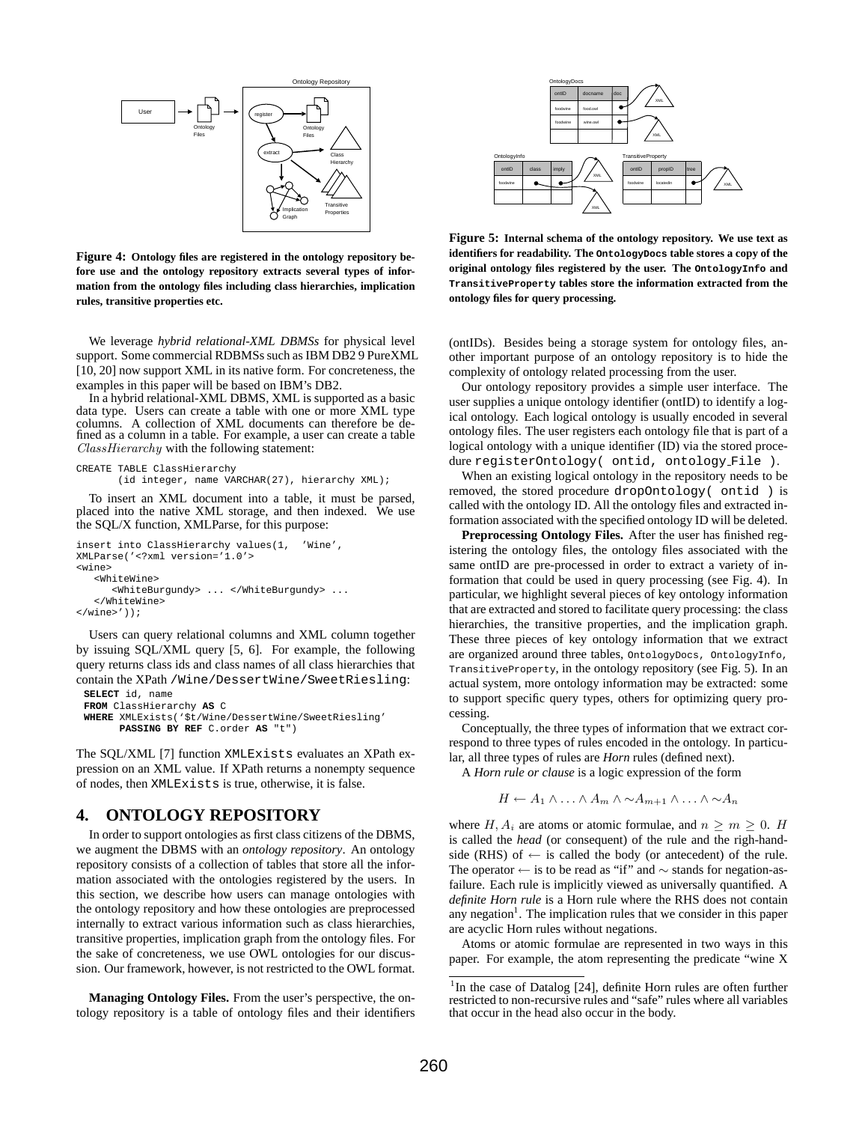

**Figure 4: Ontology files are registered in the ontology repository before use and the ontology repository extracts several types of information from the ontology files including class hierarchies, implication rules, transitive properties etc.**

We leverage *hybrid relational-XML DBMSs* for physical level support. Some commercial RDBMSs such as IBM DB2 9 PureXML [10, 20] now support XML in its native form. For concreteness, the examples in this paper will be based on IBM's DB2.

In a hybrid relational-XML DBMS, XML is supported as a basic data type. Users can create a table with one or more XML type columns. A collection of XML documents can therefore be defined as a column in a table. For example, a user can create a table ClassHierarchy with the following statement:

```
CREATE TABLE ClassHierarchy
       (id integer, name VARCHAR(27), hierarchy XML);
```
To insert an XML document into a table, it must be parsed, placed into the native XML storage, and then indexed. We use the SQL/X function, XMLParse, for this purpose:

```
insert into ClassHierarchy values(1, 'Wine',
XMLParse('<?xml version='1.0'>
<wine>
   <WhiteWine>
      <WhiteBurgundy> ... </WhiteBurgundy> ...
   </WhiteWine>
</wine>'));
```
Users can query relational columns and XML column together by issuing SQL/XML query [5, 6]. For example, the following query returns class ids and class names of all class hierarchies that contain the XPath /Wine/DessertWine/SweetRiesling: **SELECT** id, name

```
FROM ClassHierarchy AS C
WHERE XMLExists('$t/Wine/DessertWine/SweetRiesling'
      PASSING BY REF C.order AS "t")
```
The SQL/XML [7] function XMLExists evaluates an XPath expression on an XML value. If XPath returns a nonempty sequence of nodes, then XMLExists is true, otherwise, it is false.

## **4. ONTOLOGY REPOSITORY**

In order to support ontologies as first class citizens of the DBMS, we augment the DBMS with an *ontology repository*. An ontology repository consists of a collection of tables that store all the information associated with the ontologies registered by the users. In this section, we describe how users can manage ontologies with the ontology repository and how these ontologies are preprocessed internally to extract various information such as class hierarchies, transitive properties, implication graph from the ontology files. For the sake of concreteness, we use OWL ontologies for our discussion. Our framework, however, is not restricted to the OWL format.

**Managing Ontology Files.** From the user's perspective, the ontology repository is a table of ontology files and their identifiers



**Figure 5: Internal schema of the ontology repository. We use text as identifiers for readability. The OntologyDocs table stores a copy of the original ontology files registered by the user. The OntologyInfo and TransitiveProperty tables store the information extracted from the ontology files for query processing.**

(ontIDs). Besides being a storage system for ontology files, another important purpose of an ontology repository is to hide the complexity of ontology related processing from the user.

Our ontology repository provides a simple user interface. The user supplies a unique ontology identifier (ontID) to identify a logical ontology. Each logical ontology is usually encoded in several ontology files. The user registers each ontology file that is part of a logical ontology with a unique identifier (ID) via the stored procedure registerOntology( ontid, ontology File ).

When an existing logical ontology in the repository needs to be removed, the stored procedure dropOntology( ontid ) is called with the ontology ID. All the ontology files and extracted information associated with the specified ontology ID will be deleted.

**Preprocessing Ontology Files.** After the user has finished registering the ontology files, the ontology files associated with the same ontID are pre-processed in order to extract a variety of information that could be used in query processing (see Fig. 4). In particular, we highlight several pieces of key ontology information that are extracted and stored to facilitate query processing: the class hierarchies, the transitive properties, and the implication graph. These three pieces of key ontology information that we extract are organized around three tables, OntologyDocs, OntologyInfo, TransitiveProperty, in the ontology repository (see Fig. 5). In an actual system, more ontology information may be extracted: some to support specific query types, others for optimizing query processing.

Conceptually, the three types of information that we extract correspond to three types of rules encoded in the ontology. In particular, all three types of rules are *Horn* rules (defined next).

A *Horn rule or clause* is a logic expression of the form

$$
H \leftarrow A_1 \wedge \ldots \wedge A_m \wedge \sim A_{m+1} \wedge \ldots \wedge \sim A_n
$$

where  $H, A_i$  are atoms or atomic formulae, and  $n \geq m \geq 0$ . H is called the *head* (or consequent) of the rule and the righ-handside (RHS) of  $\leftarrow$  is called the body (or antecedent) of the rule. The operator ← is to be read as "if" and ∼ stands for negation-asfailure. Each rule is implicitly viewed as universally quantified. A *definite Horn rule* is a Horn rule where the RHS does not contain any negation<sup>1</sup>. The implication rules that we consider in this paper are acyclic Horn rules without negations.

Atoms or atomic formulae are represented in two ways in this paper. For example, the atom representing the predicate "wine X

<sup>&</sup>lt;sup>1</sup>In the case of Datalog [24], definite Horn rules are often further restricted to non-recursive rules and "safe" rules where all variables that occur in the head also occur in the body.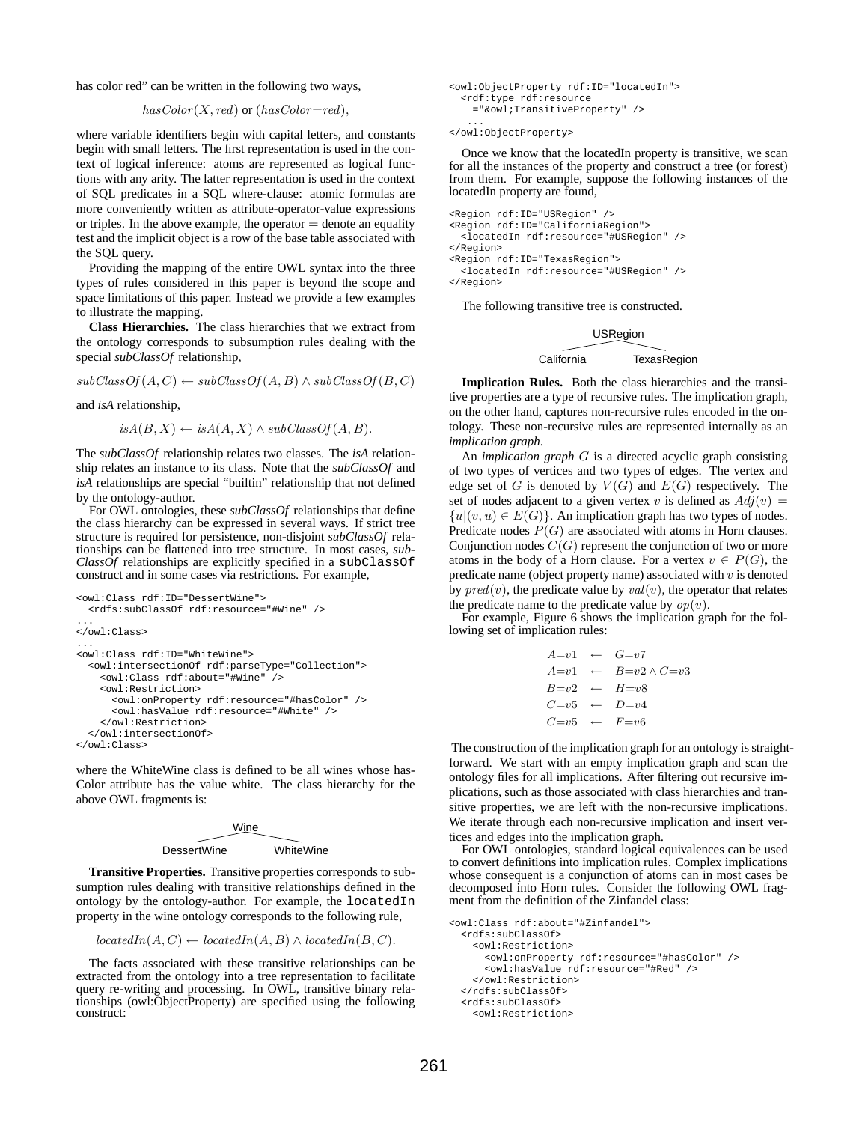has color red" can be written in the following two ways,

$$
hasColor(X, red) \text{ or } (hasColor = red),
$$

where variable identifiers begin with capital letters, and constants begin with small letters. The first representation is used in the context of logical inference: atoms are represented as logical functions with any arity. The latter representation is used in the context of SQL predicates in a SQL where-clause: atomic formulas are more conveniently written as attribute-operator-value expressions or triples. In the above example, the operator  $=$  denote an equality test and the implicit object is a row of the base table associated with the SQL query.

Providing the mapping of the entire OWL syntax into the three types of rules considered in this paper is beyond the scope and space limitations of this paper. Instead we provide a few examples to illustrate the mapping.

**Class Hierarchies.** The class hierarchies that we extract from the ontology corresponds to subsumption rules dealing with the special *subClassOf* relationship,

 $subClassOf(A, C) \leftarrow subClassOf(A, B) \wedge subClassOf(B, C)$ 

and *isA* relationship,

$$
isA(B, X) \leftarrow isA(A, X) \land subClassOf(A, B).
$$

The *subClassOf* relationship relates two classes. The *isA* relationship relates an instance to its class. Note that the *subClassOf* and *isA* relationships are special "builtin" relationship that not defined by the ontology-author.

For OWL ontologies, these *subClassOf* relationships that define the class hierarchy can be expressed in several ways. If strict tree structure is required for persistence, non-disjoint *subClassOf* relationships can be flattened into tree structure. In most cases, *sub-* $Class\hat{Of}$  relationships are explicitly specified in a subClassOf construct and in some cases via restrictions. For example,

```
<owl:Class rdf:ID="DessertWine">
  <rdfs:subClassOf rdf:resource="#Wine" />
...
</owl:Class>
...
<owl:Class rdf:ID="WhiteWine">
  <owl:intersectionOf rdf:parseType="Collection">
    <owl:Class rdf:about="#Wine" />
    <owl:Restriction>
      <owl:onProperty rdf:resource="#hasColor" />
      <owl:hasValue rdf:resource="#White" />
    </owl:Restriction>
  </owl:intersectionOf>
</owl:Class>
```
where the WhiteWine class is defined to be all wines whose has-Color attribute has the value white. The class hierarchy for the above OWL fragments is:

| Wine        |           |  |
|-------------|-----------|--|
|             |           |  |
| DessertWine | WhiteWine |  |

**Transitive Properties.** Transitive properties corresponds to subsumption rules dealing with transitive relationships defined in the ontology by the ontology-author. For example, the locatedIn property in the wine ontology corresponds to the following rule,

```
locatedIn(A, C) \leftarrow locatedIn(A, B) \wedge locatedIn(B, C).
```
The facts associated with these transitive relationships can be extracted from the ontology into a tree representation to facilitate query re-writing and processing. In OWL, transitive binary relationships (owl:ObjectProperty) are specified using the following construct:

```
<owl:ObjectProperty rdf:ID="locatedIn">
  <rdf:type rdf:resource
   ="&owl;TransitiveProperty" />
   ...
```
</owl:ObjectProperty>

Once we know that the locatedIn property is transitive, we scan for all the instances of the property and construct a tree (or forest) from them. For example, suppose the following instances of the locatedIn property are found,

```
<Region rdf:ID="USRegion" />
<Region rdf:ID="CaliforniaRegion">
 <locatedIn rdf:resource="#USRegion" />
</Region>
<Region rdf:ID="TexasRegion">
  <locatedIn rdf:resource="#USRegion" />
</Region>
```
The following transitive tree is constructed.

#### USRegion

#### California TexasRegion

**Implication Rules.** Both the class hierarchies and the transitive properties are a type of recursive rules. The implication graph, on the other hand, captures non-recursive rules encoded in the ontology. These non-recursive rules are represented internally as an *implication graph*.

An *implication graph* G is a directed acyclic graph consisting of two types of vertices and two types of edges. The vertex and edge set of G is denoted by  $V(G)$  and  $E(G)$  respectively. The set of nodes adjacent to a given vertex v is defined as  $Adj(v)$  =  ${u|(v, u) \in E(G)}$ . An implication graph has two types of nodes. Predicate nodes  $P(G)$  are associated with atoms in Horn clauses. Conjunction nodes  $C(G)$  represent the conjunction of two or more atoms in the body of a Horn clause. For a vertex  $v \in P(G)$ , the predicate name (object property name) associated with  $v$  is denoted by  $pred(v)$ , the predicate value by  $val(v)$ , the operator that relates the predicate name to the predicate value by  $op(v)$ .

For example, Figure 6 shows the implication graph for the following set of implication rules:

|  | $A=v1 \leftarrow G=v7$             |
|--|------------------------------------|
|  | $A=v1 \leftarrow B=v2 \wedge C=v3$ |
|  | $B=v2 \leftarrow H=v8$             |
|  | $C=v5 \leftarrow D=v4$             |
|  | $C = v5 \leftarrow F = v6$         |

The construction of the implication graph for an ontology is straightforward. We start with an empty implication graph and scan the ontology files for all implications. After filtering out recursive implications, such as those associated with class hierarchies and transitive properties, we are left with the non-recursive implications. We iterate through each non-recursive implication and insert vertices and edges into the implication graph.

For OWL ontologies, standard logical equivalences can be used to convert definitions into implication rules. Complex implications whose consequent is a conjunction of atoms can in most cases be decomposed into Horn rules. Consider the following OWL fragment from the definition of the Zinfandel class:

```
<owl:Class rdf:about="#Zinfandel">
  <rdfs:subClassOf>
    <owl:Restriction>
      <owl:onProperty rdf:resource="#hasColor" />
      <owl:hasValue rdf:resource="#Red" />
    </owl:Restriction>
  </rdfs:subClassOf>
  <rdfs:subClassOf>
    <owl:Restriction>
```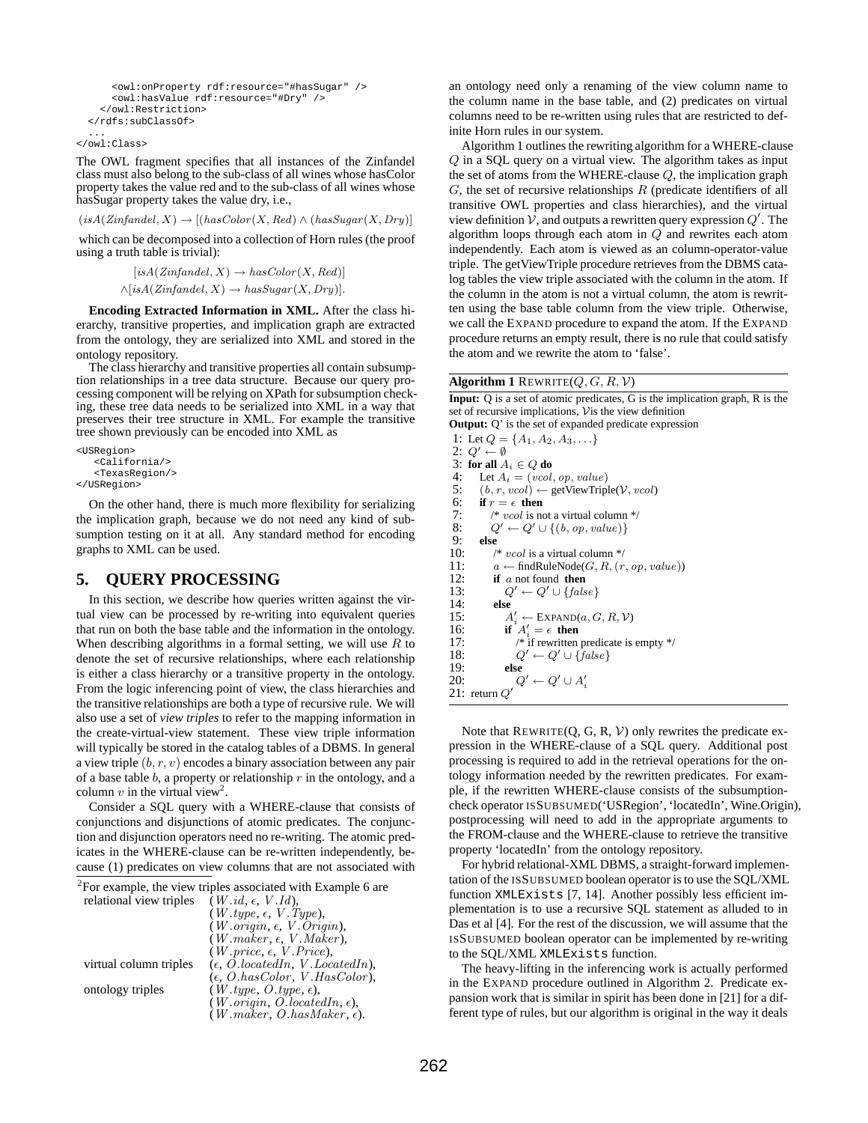```
<owl:onProperty rdf:resource="#hasSugar" />
    <owl:hasValue rdf:resource="#Dry" />
  </owl:Restriction>
</rdfs:subClassOf>
...
```
</owl:Class>

The OWL fragment specifies that all instances of the Zinfandel class must also belong to the sub-class of all wines whose hasColor property takes the value red and to the sub-class of all wines whose hasSugar property takes the value dry, i.e.,

```
(isA(Zinfandel, X) \rightarrow [(hasColor(X, Red) \wedge (hasSugar(X, Dry))]
```
which can be decomposed into a collection of Horn rules (the proof using a truth table is trivial):

```
[isA(Zinfandel, X) \rightarrow hasColor(X, Red)]\wedge[isA(Zinfandel, X) \rightarrow hasSugar(X, Dry)].
```
**Encoding Extracted Information in XML.** After the class hierarchy, transitive properties, and implication graph are extracted from the ontology, they are serialized into XML and stored in the ontology repository.

The class hierarchy and transitive properties all contain subsumption relationships in a tree data structure. Because our query processing component will be relying on XPath for subsumption checking, these tree data needs to be serialized into XML in a way that preserves their tree structure in XML. For example the transitive tree shown previously can be encoded into XML as

```
<USRegion>
   <California/>
   <TexasRegion/>
</USRegion>
```
On the other hand, there is much more flexibility for serializing the implication graph, because we do not need any kind of subsumption testing on it at all. Any standard method for encoding graphs to XML can be used.

## **5. QUERY PROCESSING**

In this section, we describe how queries written against the virtual view can be processed by re-writing into equivalent queries that run on both the base table and the information in the ontology. When describing algorithms in a formal setting, we will use  $R$  to denote the set of recursive relationships, where each relationship is either a class hierarchy or a transitive property in the ontology. From the logic inferencing point of view, the class hierarchies and the transitive relationships are both a type of recursive rule. We will also use a set of *view triples* to refer to the mapping information in the create-virtual-view statement. These view triple information will typically be stored in the catalog tables of a DBMS. In general a view triple  $(b, r, v)$  encodes a binary association between any pair of a base table  $b$ , a property or relationship  $r$  in the ontology, and a column  $v$  in the virtual view<sup>2</sup>.

Consider a SQL query with a WHERE-clause that consists of conjunctions and disjunctions of atomic predicates. The conjunction and disjunction operators need no re-writing. The atomic predicates in the WHERE-clause can be re-written independently, because (1) predicates on view columns that are not associated with

 $2^2$ For example, the view triples associated with Example 6 are

| relational view triples | $(W.id, \epsilon, V.id),$                          |
|-------------------------|----------------------------------------------------|
|                         | $(W.\text{type}, \epsilon, V.\text{Type}),$        |
|                         | $(W.\text{origin}, \epsilon, V.\text{origin}),$    |
|                         | $(W. maker, \epsilon, V. Maker),$                  |
|                         | $(W.\text{price}, \epsilon, V.\text{Price}),$      |
| virtual column triples  | $(\epsilon, O. locatedIn, V. LocaledIn),$          |
|                         | $(\epsilon, O. hasColor, V. HasColor)$ ,           |
| ontology triples        | $(W.\text{type}, O.\text{type}, \epsilon),$        |
|                         | $(W.\text{origin}, O.\text{locatedIn}, \epsilon),$ |
|                         | $(W.\text{maker}, O.\text{hasMaker}, \epsilon).$   |

an ontology need only a renaming of the view column name to the column name in the base table, and (2) predicates on virtual columns need to be re-written using rules that are restricted to definite Horn rules in our system.

Algorithm 1 outlines the rewriting algorithm for a WHERE-clause Q in a SQL query on a virtual view. The algorithm takes as input the set of atoms from the WHERE-clause  $Q$ , the implication graph  $G$ , the set of recursive relationships  $R$  (predicate identifiers of all transitive OWL properties and class hierarchies), and the virtual view definition  $\overrightarrow{V}$ , and outputs a rewritten query expression  $Q'$ . The algorithm loops through each atom in Q and rewrites each atom independently. Each atom is viewed as an column-operator-value triple. The getViewTriple procedure retrieves from the DBMS catalog tables the view triple associated with the column in the atom. If the column in the atom is not a virtual column, the atom is rewritten using the base table column from the view triple. Otherwise, we call the EXPAND procedure to expand the atom. If the EXPAND procedure returns an empty result, there is no rule that could satisfy the atom and we rewrite the atom to 'false'.

#### **Algorithm 1** REWRITE( $Q, G, R, V$ )

**Input:** Q is a set of atomic predicates, G is the implication graph, R is the set of recursive implications, Vis the view definition **Output:** Q' is the set of expanded predicate expression

1: Let  $Q = \{A_1, A_2, A_3, \ldots\}$ 2:  $Q' \leftarrow \emptyset$ 3: **for all**  $A_i \in Q$  **do**<br>4. **Let**  $A_i = (wcd)$ Let  $A_i = (vcol, op, value)$ 5:  $(b, r, vcol) \leftarrow getViewTriple(V, vcol)$ 6: **if**  $r = \epsilon$  **then** 7: /\* vcol is not a virtual column \*/<br>8:  $Q' \leftarrow Q' \cup \{(b, op, value)\}$ 8:  $Q' \leftarrow Q' \cup \{(b, op, value)\}$ <br>9: else 9: **else**  $1*$  vcol is a virtual column  $*$ / 11:  $a \leftarrow \text{findRuleNode}(G, R, (r, op, value))$ 12: **if** a not found **then**<br>13:  $Q' \leftarrow Q' \cup \{false\}$  $Q' \leftarrow Q' \cup \{false\}$ 14: **else**  $\frac{15}{16}$  $A'_i \leftarrow \text{EXPAND}(a, G, R, V)$ 16: **if**  $A'_i = \epsilon$  **then** 17: <br>  $\begin{array}{ll} \n 1 & \rightarrow \infty \n 18: \n 18: \n 19 & \rightarrow \infty \n \end{array}$   $\begin{array}{ll} \n 1 & \rightarrow \infty \n 1 & \rightarrow \infty \n \end{array}$ 18:  $Q' \leftarrow Q' \cup \{false\}$ <br>19. else 19: **else** 20:  $Q' \leftarrow Q' \cup A'_i$ 21: return Q′

Note that  $REWRITE(Q, G, R, V)$  only rewrites the predicate expression in the WHERE-clause of a SQL query. Additional post processing is required to add in the retrieval operations for the ontology information needed by the rewritten predicates. For example, if the rewritten WHERE-clause consists of the subsumptioncheck operator ISSUBSUMED('USRegion', 'locatedIn', Wine.Origin), postprocessing will need to add in the appropriate arguments to the FROM-clause and the WHERE-clause to retrieve the transitive property 'locatedIn' from the ontology repository.

For hybrid relational-XML DBMS, a straight-forward implementation of the ISSUBSUMED boolean operator is to use the SQL/XML function XMLExists [7, 14]. Another possibly less efficient implementation is to use a recursive SQL statement as alluded to in Das et al [4]. For the rest of the discussion, we will assume that the ISSUBSUMED boolean operator can be implemented by re-writing to the SQL/XML XMLExists function.

The heavy-lifting in the inferencing work is actually performed in the EXPAND procedure outlined in Algorithm 2. Predicate expansion work that is similar in spirit has been done in [21] for a different type of rules, but our algorithm is original in the way it deals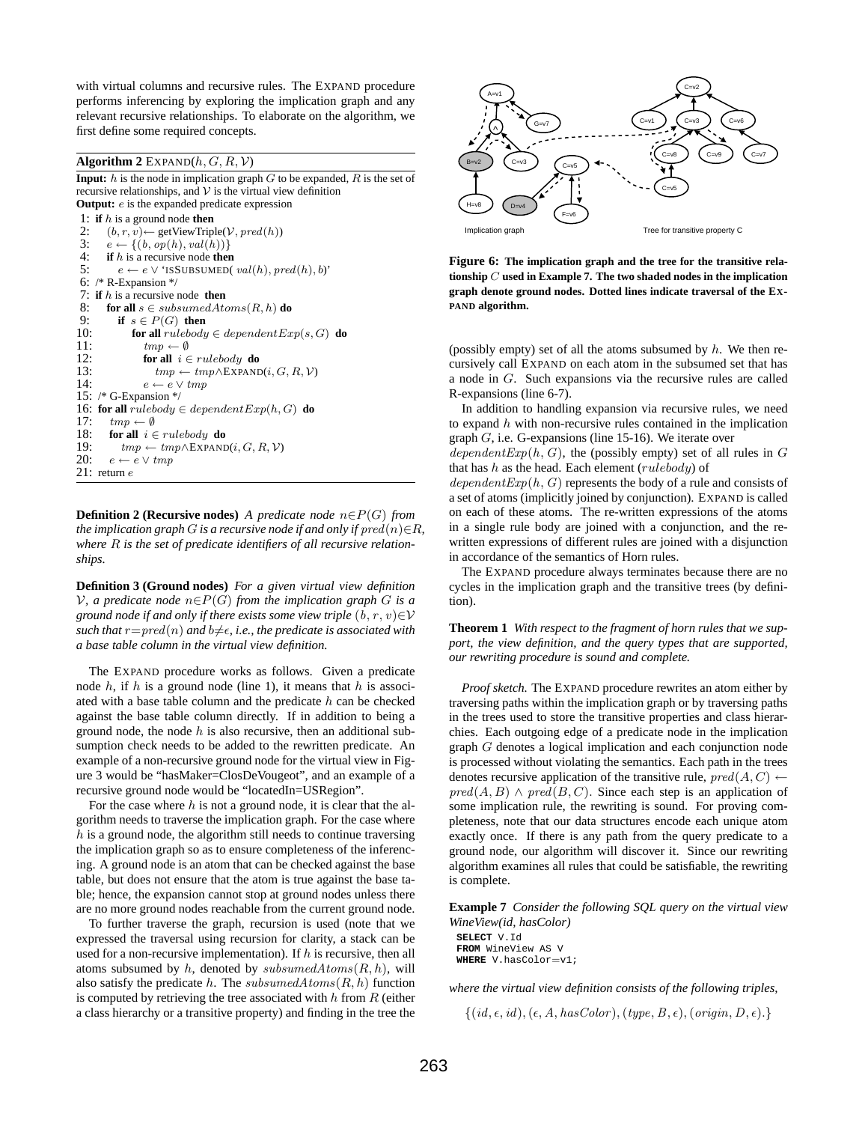with virtual columns and recursive rules. The EXPAND procedure performs inferencing by exploring the implication graph and any relevant recursive relationships. To elaborate on the algorithm, we first define some required concepts.

#### **Algorithm 2** EXPAND $(h, G, R, V)$

**Input:**  $h$  is the node in implication graph  $G$  to be expanded,  $R$  is the set of recursive relationships, and  $V$  is the virtual view definition **Output:** *e* is the expanded predicate expression

1: **if** h is a ground node **then**<br>2:  $(h, r, v) \leftarrow$  setViewTrin 2:  $(b, r, v) \leftarrow \text{getViewTriple}(\mathcal{V}, pred(h))$ <br>
3:  $e \leftarrow \{(b, op(h), val(h))\}$  $e \leftarrow \{(b, op(h), val(h))\}$ 4: **if** h is a recursive node **then** 5:  $e \leftarrow e \vee 'ISSUBSUMED(val(h), pred(h), b)'$ 6: /\* R-Expansion \*/ 7: **if** h is a recursive node **then** 8: **for all**  $s \in subsumedAtoms(R, h)$  **do** 9: **if**  $s \in P(G)$  **then**<br>10: **for all** *rulebody* 10: **for all**  $rulebody \in dependent Exp(s, G)$  **do**<br>11:  $tmp \leftarrow \emptyset$ 11:  $tmp \leftarrow \emptyset$ <br>12: **for all**  $i \in$ 12: **for all**  $i \in rulebody$  **do**<br>13: **for all**  $i \in truebody$  **how**  $tmp \leftarrow tmp \wedge \text{EXPAND}(i, G, R, \mathcal{V})$ 14:  $e \leftarrow e \vee tmp$ 15: /\* G-Expansion \*/ 16: **for all**  $rulebody \in dependentExp(h, G)$  **do** 17:  $tmp \leftarrow \emptyset$ 18: **for all**  $i \in rulebody$  **do** 19:  $tmp \leftarrow tmp \wedge EXPAND(i, G, R, V)$ <br>20:  $e \leftarrow e \vee tmp$  $e \leftarrow e \vee tmp$  $21:$  return  $e$ 

**Definition 2 (Recursive nodes)** *A predicate node*  $n \in P(G)$  *from the implication graph G is a recursive node if and only if*  $pred(n) \in R$ , *where* R *is the set of predicate identifiers of all recursive relationships.*

**Definition 3 (Ground nodes)** *For a given virtual view definition*  $V$ , a predicate node  $n \in P(G)$  from the implication graph G is a *ground node if and only if there exists some view triple*  $(b, r, v) \in V$ *such that*  $r = pred(n)$  *and*  $b \neq \epsilon$ *, i.e., the predicate is associated with a base table column in the virtual view definition.*

The EXPAND procedure works as follows. Given a predicate node  $h$ , if  $h$  is a ground node (line 1), it means that  $h$  is associated with a base table column and the predicate  $h$  can be checked against the base table column directly. If in addition to being a ground node, the node  $h$  is also recursive, then an additional subsumption check needs to be added to the rewritten predicate. An example of a non-recursive ground node for the virtual view in Figure 3 would be "hasMaker=ClosDeVougeot", and an example of a recursive ground node would be "locatedIn=USRegion".

For the case where  $h$  is not a ground node, it is clear that the algorithm needs to traverse the implication graph. For the case where  $h$  is a ground node, the algorithm still needs to continue traversing the implication graph so as to ensure completeness of the inferencing. A ground node is an atom that can be checked against the base table, but does not ensure that the atom is true against the base table; hence, the expansion cannot stop at ground nodes unless there are no more ground nodes reachable from the current ground node.

To further traverse the graph, recursion is used (note that we expressed the traversal using recursion for clarity, a stack can be used for a non-recursive implementation). If  $h$  is recursive, then all atoms subsumed by h, denoted by subsumed $Atoms(R, h)$ , will also satisfy the predicate h. The subsumed $Atoms(R, h)$  function is computed by retrieving the tree associated with  $h$  from  $R$  (either a class hierarchy or a transitive property) and finding in the tree the



**Figure 6: The implication graph and the tree for the transitive relationship** C **used in Example 7. The two shaded nodes in the implication graph denote ground nodes. Dotted lines indicate traversal of the EX-PAND algorithm.**

(possibly empty) set of all the atoms subsumed by  $h$ . We then recursively call EXPAND on each atom in the subsumed set that has a node in G. Such expansions via the recursive rules are called R-expansions (line 6-7).

In addition to handling expansion via recursive rules, we need to expand  $h$  with non-recursive rules contained in the implication graph G, i.e. G-expansions (line 15-16). We iterate over

dependent $Exp(h, G)$ , the (possibly empty) set of all rules in G that has  $h$  as the head. Each element ( $rulebody$ ) of

 $dependentExp(h, G)$  represents the body of a rule and consists of a set of atoms (implicitly joined by conjunction). EXPAND is called on each of these atoms. The re-written expressions of the atoms in a single rule body are joined with a conjunction, and the rewritten expressions of different rules are joined with a disjunction in accordance of the semantics of Horn rules.

The EXPAND procedure always terminates because there are no cycles in the implication graph and the transitive trees (by definition).

**Theorem 1** *With respect to the fragment of horn rules that we support, the view definition, and the query types that are supported, our rewriting procedure is sound and complete.*

*Proof sketch.* The EXPAND procedure rewrites an atom either by traversing paths within the implication graph or by traversing paths in the trees used to store the transitive properties and class hierarchies. Each outgoing edge of a predicate node in the implication graph G denotes a logical implication and each conjunction node is processed without violating the semantics. Each path in the trees denotes recursive application of the transitive rule,  $pred(A, C) \leftarrow$  $pred(A, B) \wedge pred(B, C)$ . Since each step is an application of some implication rule, the rewriting is sound. For proving completeness, note that our data structures encode each unique atom exactly once. If there is any path from the query predicate to a ground node, our algorithm will discover it. Since our rewriting algorithm examines all rules that could be satisfiable, the rewriting is complete.

**Example 7** *Consider the following SQL query on the virtual view WineView(id, hasColor)*

**SELECT** V.Id **FROM** WineView AS V **WHERE** V.hasColor=v1;

*where the virtual view definition consists of the following triples,*

 $\{(id, \epsilon, id), (\epsilon, A, hasColor), (type, B, \epsilon), (origin, D, \epsilon)\}.$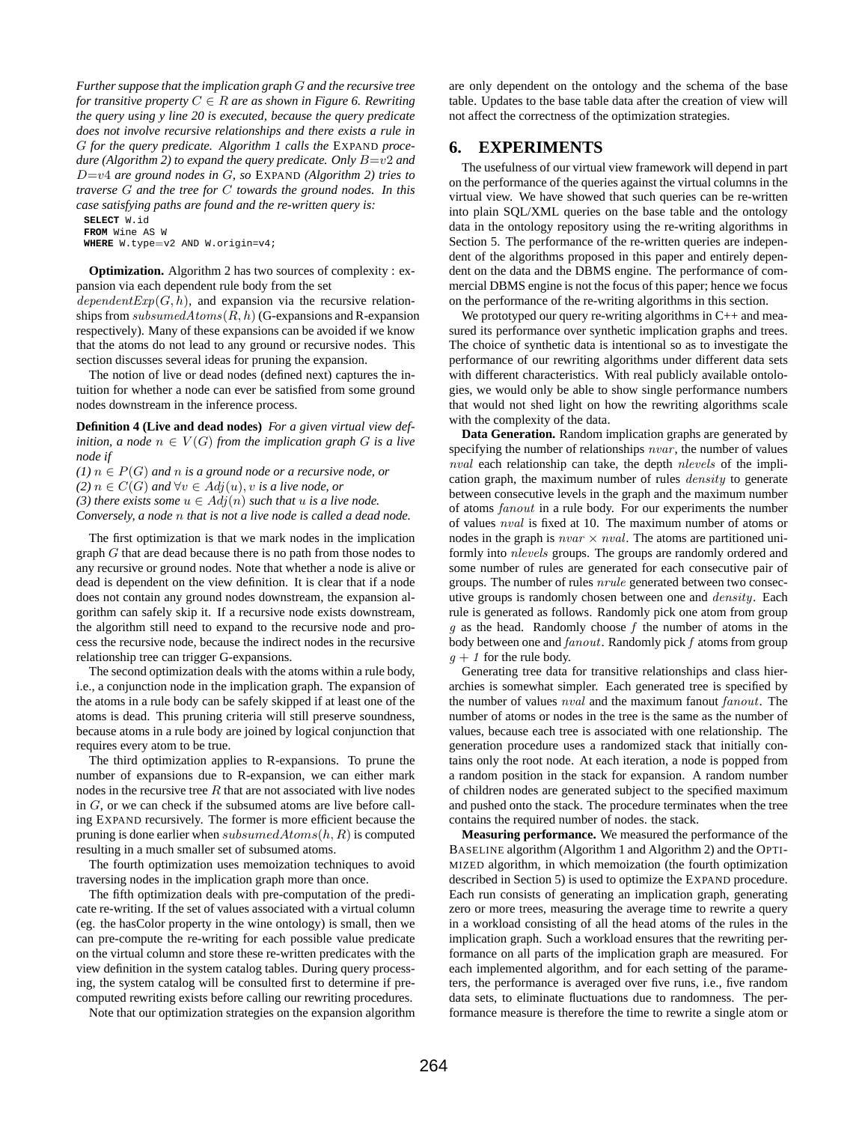*Further suppose that the implication graph* G *and the recursive tree for transitive property*  $C \in \mathbb{R}$  *are as shown in Figure 6. Rewriting the query using y line 20 is executed, because the query predicate does not involve recursive relationships and there exists a rule in* G *for the query predicate. Algorithm 1 calls the* EXPAND *procedure (Algorithm 2) to expand the query predicate. Only* B=v2 *and* D=v4 *are ground nodes in* G*, so* EXPAND *(Algorithm 2) tries to traverse* G *and the tree for* C *towards the ground nodes. In this case satisfying paths are found and the re-written query is:*

```
SELECT W.id
FROM Wine AS W
WHERE W.type=v2 AND W.origin=v4;
```
**Optimization.** Algorithm 2 has two sources of complexity : expansion via each dependent rule body from the set

 $dependentExp(G, h)$ , and expansion via the recursive relationships from  $subsumedAtoms(R, h)$  (G-expansions and R-expansion respectively). Many of these expansions can be avoided if we know that the atoms do not lead to any ground or recursive nodes. This section discusses several ideas for pruning the expansion.

The notion of live or dead nodes (defined next) captures the intuition for whether a node can ever be satisfied from some ground nodes downstream in the inference process.

**Definition 4 (Live and dead nodes)** *For a given virtual view definition, a node*  $n \in V(G)$  *from the implication graph* G *is a live node if*

 $(1)$   $n \in P(G)$  *and*  $n$  *is a ground node or a recursive node, or* 

*(2)*  $n \in C(G)$  *and* ∀ $v \in Adj(u)$ , *v is a live node, or* 

*(3) there exists some*  $u \in Adj(n)$  *such that*  $u$  *is a live node.* 

*Conversely, a node* n *that is not a live node is called a dead node.*

The first optimization is that we mark nodes in the implication graph G that are dead because there is no path from those nodes to any recursive or ground nodes. Note that whether a node is alive or dead is dependent on the view definition. It is clear that if a node does not contain any ground nodes downstream, the expansion algorithm can safely skip it. If a recursive node exists downstream, the algorithm still need to expand to the recursive node and process the recursive node, because the indirect nodes in the recursive relationship tree can trigger G-expansions.

The second optimization deals with the atoms within a rule body, i.e., a conjunction node in the implication graph. The expansion of the atoms in a rule body can be safely skipped if at least one of the atoms is dead. This pruning criteria will still preserve soundness, because atoms in a rule body are joined by logical conjunction that requires every atom to be true.

The third optimization applies to R-expansions. To prune the number of expansions due to R-expansion, we can either mark nodes in the recursive tree  $R$  that are not associated with live nodes in G, or we can check if the subsumed atoms are live before calling EXPAND recursively. The former is more efficient because the pruning is done earlier when  $subsumedAtoms(h, R)$  is computed resulting in a much smaller set of subsumed atoms.

The fourth optimization uses memoization techniques to avoid traversing nodes in the implication graph more than once.

The fifth optimization deals with pre-computation of the predicate re-writing. If the set of values associated with a virtual column (eg. the hasColor property in the wine ontology) is small, then we can pre-compute the re-writing for each possible value predicate on the virtual column and store these re-written predicates with the view definition in the system catalog tables. During query processing, the system catalog will be consulted first to determine if precomputed rewriting exists before calling our rewriting procedures.

Note that our optimization strategies on the expansion algorithm

are only dependent on the ontology and the schema of the base table. Updates to the base table data after the creation of view will not affect the correctness of the optimization strategies.

## **6. EXPERIMENTS**

The usefulness of our virtual view framework will depend in part on the performance of the queries against the virtual columns in the virtual view. We have showed that such queries can be re-written into plain SQL/XML queries on the base table and the ontology data in the ontology repository using the re-writing algorithms in Section 5. The performance of the re-written queries are independent of the algorithms proposed in this paper and entirely dependent on the data and the DBMS engine. The performance of commercial DBMS engine is not the focus of this paper; hence we focus on the performance of the re-writing algorithms in this section.

We prototyped our query re-writing algorithms in  $C_{++}$  and measured its performance over synthetic implication graphs and trees. The choice of synthetic data is intentional so as to investigate the performance of our rewriting algorithms under different data sets with different characteristics. With real publicly available ontologies, we would only be able to show single performance numbers that would not shed light on how the rewriting algorithms scale with the complexity of the data.

**Data Generation.** Random implication graphs are generated by specifying the number of relationships *nvar*, the number of values nval each relationship can take, the depth nlevels of the implication graph, the maximum number of rules density to generate between consecutive levels in the graph and the maximum number of atoms fanout in a rule body. For our experiments the number of values nval is fixed at 10. The maximum number of atoms or nodes in the graph is  $\nu var \times nval$ . The atoms are partitioned uniformly into nlevels groups. The groups are randomly ordered and some number of rules are generated for each consecutive pair of groups. The number of rules nrule generated between two consecutive groups is randomly chosen between one and *density*. Each rule is generated as follows. Randomly pick one atom from group  $q$  as the head. Randomly choose  $f$  the number of atoms in the body between one and  $fanout$ . Randomly pick  $f$  atoms from group  $g + 1$  for the rule body.

Generating tree data for transitive relationships and class hierarchies is somewhat simpler. Each generated tree is specified by the number of values  $nval$  and the maximum fanout  $fanout$ . The number of atoms or nodes in the tree is the same as the number of values, because each tree is associated with one relationship. The generation procedure uses a randomized stack that initially contains only the root node. At each iteration, a node is popped from a random position in the stack for expansion. A random number of children nodes are generated subject to the specified maximum and pushed onto the stack. The procedure terminates when the tree contains the required number of nodes. the stack.

**Measuring performance.** We measured the performance of the BASELINE algorithm (Algorithm 1 and Algorithm 2) and the OPTI-MIZED algorithm, in which memoization (the fourth optimization described in Section 5) is used to optimize the EXPAND procedure. Each run consists of generating an implication graph, generating zero or more trees, measuring the average time to rewrite a query in a workload consisting of all the head atoms of the rules in the implication graph. Such a workload ensures that the rewriting performance on all parts of the implication graph are measured. For each implemented algorithm, and for each setting of the parameters, the performance is averaged over five runs, i.e., five random data sets, to eliminate fluctuations due to randomness. The performance measure is therefore the time to rewrite a single atom or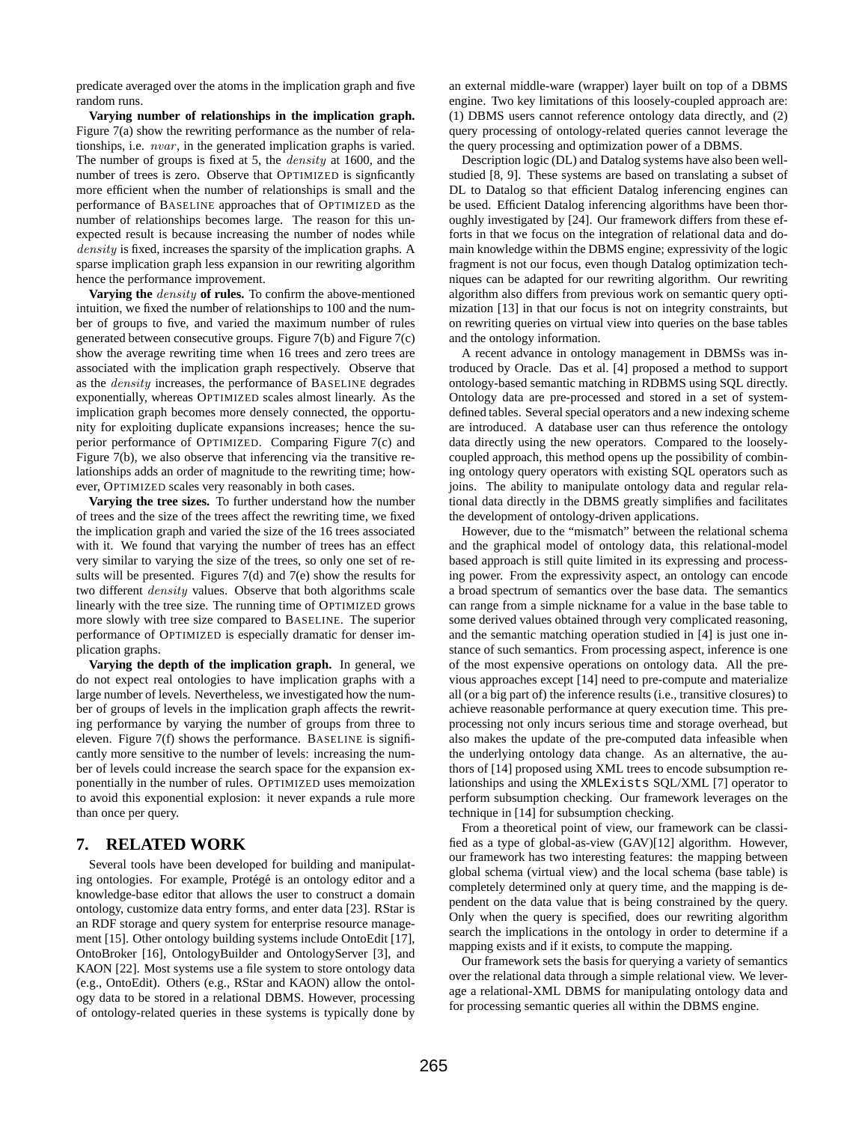predicate averaged over the atoms in the implication graph and five random runs.

**Varying number of relationships in the implication graph.** Figure 7(a) show the rewriting performance as the number of relationships, i.e. nvar, in the generated implication graphs is varied. The number of groups is fixed at 5, the density at 1600, and the number of trees is zero. Observe that OPTIMIZED is signficantly more efficient when the number of relationships is small and the performance of BASELINE approaches that of OPTIMIZED as the number of relationships becomes large. The reason for this unexpected result is because increasing the number of nodes while density is fixed, increases the sparsity of the implication graphs. A sparse implication graph less expansion in our rewriting algorithm hence the performance improvement.

**Varying the** density **of rules.** To confirm the above-mentioned intuition, we fixed the number of relationships to 100 and the number of groups to five, and varied the maximum number of rules generated between consecutive groups. Figure 7(b) and Figure 7(c) show the average rewriting time when 16 trees and zero trees are associated with the implication graph respectively. Observe that as the density increases, the performance of BASELINE degrades exponentially, whereas OPTIMIZED scales almost linearly. As the implication graph becomes more densely connected, the opportunity for exploiting duplicate expansions increases; hence the superior performance of OPTIMIZED. Comparing Figure 7(c) and Figure 7(b), we also observe that inferencing via the transitive relationships adds an order of magnitude to the rewriting time; however, OPTIMIZED scales very reasonably in both cases.

**Varying the tree sizes.** To further understand how the number of trees and the size of the trees affect the rewriting time, we fixed the implication graph and varied the size of the 16 trees associated with it. We found that varying the number of trees has an effect very similar to varying the size of the trees, so only one set of results will be presented. Figures 7(d) and 7(e) show the results for two different *density* values. Observe that both algorithms scale linearly with the tree size. The running time of OPTIMIZED grows more slowly with tree size compared to BASELINE. The superior performance of OPTIMIZED is especially dramatic for denser implication graphs.

**Varying the depth of the implication graph.** In general, we do not expect real ontologies to have implication graphs with a large number of levels. Nevertheless, we investigated how the number of groups of levels in the implication graph affects the rewriting performance by varying the number of groups from three to eleven. Figure 7(f) shows the performance. BASELINE is significantly more sensitive to the number of levels: increasing the number of levels could increase the search space for the expansion exponentially in the number of rules. OPTIMIZED uses memoization to avoid this exponential explosion: it never expands a rule more than once per query.

### **7. RELATED WORK**

Several tools have been developed for building and manipulating ontologies. For example, Protégé is an ontology editor and a knowledge-base editor that allows the user to construct a domain ontology, customize data entry forms, and enter data [23]. RStar is an RDF storage and query system for enterprise resource management [15]. Other ontology building systems include OntoEdit [17], OntoBroker [16], OntologyBuilder and OntologyServer [3], and KAON [22]. Most systems use a file system to store ontology data (e.g., OntoEdit). Others (e.g., RStar and KAON) allow the ontology data to be stored in a relational DBMS. However, processing of ontology-related queries in these systems is typically done by

an external middle-ware (wrapper) layer built on top of a DBMS engine. Two key limitations of this loosely-coupled approach are: (1) DBMS users cannot reference ontology data directly, and (2) query processing of ontology-related queries cannot leverage the the query processing and optimization power of a DBMS.

Description logic (DL) and Datalog systems have also been wellstudied [8, 9]. These systems are based on translating a subset of DL to Datalog so that efficient Datalog inferencing engines can be used. Efficient Datalog inferencing algorithms have been thoroughly investigated by [24]. Our framework differs from these efforts in that we focus on the integration of relational data and domain knowledge within the DBMS engine; expressivity of the logic fragment is not our focus, even though Datalog optimization techniques can be adapted for our rewriting algorithm. Our rewriting algorithm also differs from previous work on semantic query optimization [13] in that our focus is not on integrity constraints, but on rewriting queries on virtual view into queries on the base tables and the ontology information.

A recent advance in ontology management in DBMSs was introduced by Oracle. Das et al. [4] proposed a method to support ontology-based semantic matching in RDBMS using SQL directly. Ontology data are pre-processed and stored in a set of systemdefined tables. Several special operators and a new indexing scheme are introduced. A database user can thus reference the ontology data directly using the new operators. Compared to the looselycoupled approach, this method opens up the possibility of combining ontology query operators with existing SQL operators such as joins. The ability to manipulate ontology data and regular relational data directly in the DBMS greatly simplifies and facilitates the development of ontology-driven applications.

However, due to the "mismatch" between the relational schema and the graphical model of ontology data, this relational-model based approach is still quite limited in its expressing and processing power. From the expressivity aspect, an ontology can encode a broad spectrum of semantics over the base data. The semantics can range from a simple nickname for a value in the base table to some derived values obtained through very complicated reasoning, and the semantic matching operation studied in [4] is just one instance of such semantics. From processing aspect, inference is one of the most expensive operations on ontology data. All the previous approaches except [14] need to pre-compute and materialize all (or a big part of) the inference results (i.e., transitive closures) to achieve reasonable performance at query execution time. This preprocessing not only incurs serious time and storage overhead, but also makes the update of the pre-computed data infeasible when the underlying ontology data change. As an alternative, the authors of [14] proposed using XML trees to encode subsumption relationships and using the XMLExists SQL/XML [7] operator to perform subsumption checking. Our framework leverages on the technique in [14] for subsumption checking.

From a theoretical point of view, our framework can be classified as a type of global-as-view (GAV)[12] algorithm. However, our framework has two interesting features: the mapping between global schema (virtual view) and the local schema (base table) is completely determined only at query time, and the mapping is dependent on the data value that is being constrained by the query. Only when the query is specified, does our rewriting algorithm search the implications in the ontology in order to determine if a mapping exists and if it exists, to compute the mapping.

Our framework sets the basis for querying a variety of semantics over the relational data through a simple relational view. We leverage a relational-XML DBMS for manipulating ontology data and for processing semantic queries all within the DBMS engine.